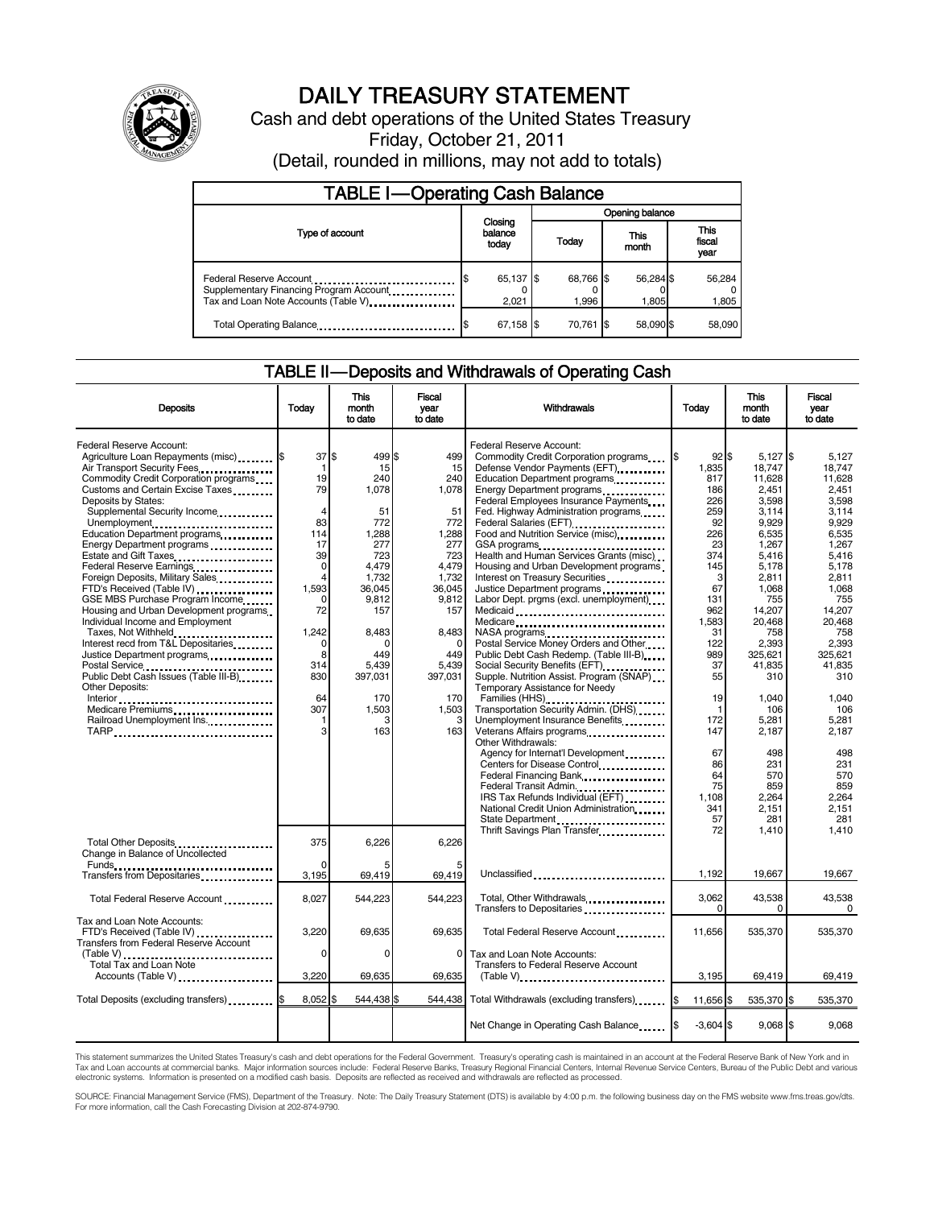

# DAILY TREASURY STATEMENT

Cash and debt operations of the United States Treasury Friday, October 21, 2011

(Detail, rounded in millions, may not add to totals)

| <b>TABLE I-Operating Cash Balance</b>                                                                      |                             |                    |                    |                        |  |  |  |
|------------------------------------------------------------------------------------------------------------|-----------------------------|--------------------|--------------------|------------------------|--|--|--|
|                                                                                                            |                             | Opening balance    |                    |                        |  |  |  |
| Type of account                                                                                            | Closing<br>balance<br>today | Todav              | This<br>month      | This<br>fiscal<br>year |  |  |  |
| Federal Reserve Account<br>Supplementary Financing Program Account<br>Tax and Loan Note Accounts (Table V) | 65,137 \$<br>2.021          | 68,766 \$<br>1.996 | 56,284 \$<br>1.805 | 56,284<br>1,805        |  |  |  |
| Total Operating Balance                                                                                    | 67,158 \$                   | 70.761 \$          | 58.090 \$          | 58.090                 |  |  |  |

## TABLE II — Deposits and Withdrawals of Operating Cash

| <b>Deposits</b>                               | Todav          | <b>This</b><br>month<br>to date | <b>Fiscal</b><br>vear<br>to date | Withdrawals                                                                                                                                                                                                          | Today       | <b>This</b><br>month<br>to date | <b>Fiscal</b><br>vear<br>to date |
|-----------------------------------------------|----------------|---------------------------------|----------------------------------|----------------------------------------------------------------------------------------------------------------------------------------------------------------------------------------------------------------------|-------------|---------------------------------|----------------------------------|
|                                               |                |                                 |                                  |                                                                                                                                                                                                                      |             |                                 |                                  |
| Federal Reserve Account:                      |                |                                 |                                  | Federal Reserve Account:                                                                                                                                                                                             |             |                                 |                                  |
| Agriculture Loan Repayments (misc) <b>S</b>   | 37             | \$<br>499 \$                    | 499                              | Commodity Credit Corporation programs                                                                                                                                                                                | $92$ \$     | $5,127$ \$                      | 5,127                            |
| Air Transport Security Fees                   | $\mathbf 1$    | 15                              | 15                               | Defense Vendor Payments (EFT)                                                                                                                                                                                        | 1,835       | 18.747                          | 18.747                           |
| Commodity Credit Corporation programs         | 19             | 240                             | 240                              | Education Department programs                                                                                                                                                                                        | 817         | 11,628                          | 11.628                           |
| Customs and Certain Excise Taxes              | 79             | 1,078                           | 1,078                            | Energy Department programs                                                                                                                                                                                           | 186         | 2,451                           | 2,451                            |
| Deposits by States:                           |                |                                 |                                  | Federal Employees Insurance Payments                                                                                                                                                                                 | 226         | 3,598                           | 3,598                            |
| Supplemental Security Income                  | $\overline{4}$ | 51                              | 51                               | Fed. Highway Administration programs                                                                                                                                                                                 | 259         | 3,114                           | 3.114                            |
| Unemployment                                  | 83             | 772                             | 772                              | Federal Salaries (EFT)<br>1991 - President Press, and Salaries (EFT)<br>1991 - Press, and Salaries (EFT)<br>1992 - Press, and Salaries (EFT)<br>1993 - Press, and Salaries (EFT)<br>1993 - Press, and Salaries (EFT) | 92          | 9,929                           | 9,929                            |
| Education Department programs                 | 114            | 1,288                           | 1,288                            | Food and Nutrition Service (misc) <b>Food</b> and Nutrition Service (misc)                                                                                                                                           | 226         | 6,535                           | 6,535                            |
| Energy Department programs                    | 17             | 277                             | 277                              | GSA programs                                                                                                                                                                                                         | 23          | 1,267                           | 1,267                            |
| Estate and Gift Taxes                         | 39             | 723                             | 723                              | Health and Human Services Grants (misc)                                                                                                                                                                              | 374         | 5,416                           | 5.416                            |
| Federal Reserve Earnings                      | $\mathbf 0$    | 4,479                           | 4,479                            | Housing and Urban Development programs                                                                                                                                                                               | 145         | 5,178                           | 5,178                            |
| Foreign Deposits, Military Sales              | 4              | 1,732                           | 1,732                            | Interest on Treasury Securities                                                                                                                                                                                      | 3           | 2,811                           | 2,811                            |
| FTD's Received (Table IV)                     | 1.593          | 36.045                          | 36,045                           | Justice Department programs                                                                                                                                                                                          | 67          | 1,068                           | 1.068                            |
|                                               | $\Omega$       | 9.812                           | 9,812                            | Labor Dept. prgms (excl. unemployment)                                                                                                                                                                               | 131         | 755                             | 755                              |
| GSE MBS Purchase Program Income               | 72             |                                 | 157                              |                                                                                                                                                                                                                      | 962         |                                 |                                  |
| Housing and Urban Development programs        |                | 157                             |                                  | Medicaid                                                                                                                                                                                                             |             | 14,207                          | 14,207                           |
| Individual Income and Employment              |                |                                 |                                  | Medicare                                                                                                                                                                                                             | 1,583       | 20,468                          | 20.468                           |
| Taxes, Not Withheld                           | 1,242          | 8,483                           | 8.483                            |                                                                                                                                                                                                                      | 31          | 758                             | 758                              |
| Interest recd from T&L Depositaries           | 0              | $\Omega$                        | $\Omega$                         | Postal Service Money Orders and Other                                                                                                                                                                                | 122         | 2.393                           | 2.393                            |
| Justice Department programs                   | 8              | 449                             | 449                              | Public Debt Cash Redemp. (Table III-B)                                                                                                                                                                               | 989         | 325,621                         | 325.621                          |
|                                               | 314            | 5.439                           | 5.439                            |                                                                                                                                                                                                                      | 37          | 41,835                          | 41.835                           |
| Public Debt Cash Issues (Table III-B)         | 830            | 397,031                         | 397,031                          | Supple. Nutrition Assist. Program (SNAP)                                                                                                                                                                             | 55          | 310                             | 310                              |
| Other Deposits:                               |                |                                 |                                  | Temporary Assistance for Needy                                                                                                                                                                                       |             |                                 |                                  |
|                                               | 64             | 170                             | 170                              | Families (HHS)                                                                                                                                                                                                       | 19          | 1,040                           | 1,040                            |
| Medicare Premiums                             | 307            | 1.503                           | 1.503                            | Transportation Security Admin. (DHS)                                                                                                                                                                                 | -1          | 106                             | 106                              |
| Railroad Unemployment Ins.                    | 1              | З                               | 3                                | Unemployment Insurance Benefits                                                                                                                                                                                      | 172         | 5.281                           | 5.281                            |
| TARP                                          | 3              | 163                             | 163                              | Veterans Affairs programs<br>                                                                                                                                                                                        | 147         | 2,187                           | 2,187                            |
|                                               |                |                                 |                                  | Other Withdrawals:                                                                                                                                                                                                   |             |                                 |                                  |
|                                               |                |                                 |                                  | Agency for Internat'l Development                                                                                                                                                                                    | 67          | 498                             | 498                              |
|                                               |                |                                 |                                  | Centers for Disease Control                                                                                                                                                                                          | 86          | 231                             | 231                              |
|                                               |                |                                 |                                  | Federal Financing Bank                                                                                                                                                                                               | 64          | 570                             | 570                              |
|                                               |                |                                 |                                  | Federal Transit Admin.                                                                                                                                                                                               | 75          | 859                             | 859                              |
|                                               |                |                                 |                                  | IRS Tax Refunds Individual (EFT)                                                                                                                                                                                     | 1.108       | 2.264                           | 2.264                            |
|                                               |                |                                 |                                  | National Credit Union Administration                                                                                                                                                                                 | 341         | 2,151                           | 2,151                            |
|                                               |                |                                 |                                  | State Department                                                                                                                                                                                                     | 57          | 281                             | 281                              |
|                                               |                |                                 |                                  | Thrift Savings Plan Transfer                                                                                                                                                                                         | 72          | 1,410                           | 1.410                            |
| Total Other Deposits                          | 375            | 6,226                           | 6,226                            |                                                                                                                                                                                                                      |             |                                 |                                  |
| Change in Balance of Uncollected              |                |                                 |                                  |                                                                                                                                                                                                                      |             |                                 |                                  |
| Transfers from Depositaries                   | 3,195          | 69,419                          | 69,419                           | Unclassified                                                                                                                                                                                                         | 1,192       | 19,667                          | 19,667                           |
|                                               |                |                                 |                                  |                                                                                                                                                                                                                      |             |                                 |                                  |
| Total Federal Reserve Account                 | 8.027          | 544.223                         | 544.223                          | Total, Other Withdrawals                                                                                                                                                                                             | 3,062<br>0  | 43,538<br>$\Omega$              | 43,538<br>$\Omega$               |
| Tax and Loan Note Accounts:                   |                |                                 |                                  | Transfers to Depositaries                                                                                                                                                                                            |             |                                 |                                  |
| FTD's Received (Table IV)                     | 3,220          | 69.635                          | 69.635                           | Total Federal Reserve Account                                                                                                                                                                                        | 11.656      | 535,370                         | 535.370                          |
| <b>Transfers from Federal Reserve Account</b> |                |                                 |                                  |                                                                                                                                                                                                                      |             |                                 |                                  |
| (Table V)                                     | $\Omega$       | $\Omega$                        | 0                                | Tax and Loan Note Accounts:                                                                                                                                                                                          |             |                                 |                                  |
| Total Tax and Loan Note                       |                |                                 |                                  | Transfers to Federal Reserve Account                                                                                                                                                                                 |             |                                 |                                  |
|                                               |                |                                 |                                  |                                                                                                                                                                                                                      |             |                                 |                                  |
| Accounts (Table V)                            | 3,220          | 69,635                          | 69,635                           | $(Table V)$                                                                                                                                                                                                          | 3,195       | 69,419                          | 69,419                           |
| Total Deposits (excluding transfers) <b>S</b> | 8,052 \$       | 544,438 \$                      | 544.438                          | Total Withdrawals (excluding transfers)                                                                                                                                                                              | 11,656 \$   | 535,370 \$                      | 535,370                          |
|                                               |                |                                 |                                  |                                                                                                                                                                                                                      |             |                                 |                                  |
|                                               |                |                                 |                                  | Net Change in Operating Cash Balance                                                                                                                                                                                 | $-3,604$ \$ | $9,068$ \$                      | 9.068                            |

This statement summarizes the United States Treasury's cash and debt operations for the Federal Government. Treasury's operating cash is maintained in an account at the Federal Reserve Bank of New York and in<br>Tax and Loan

SOURCE: Financial Management Service (FMS), Department of the Treasury. Note: The Daily Treasury Statement (DTS) is available by 4:00 p.m. the following business day on the FMS website www.fms.treas.gov/dts.<br>For more infor